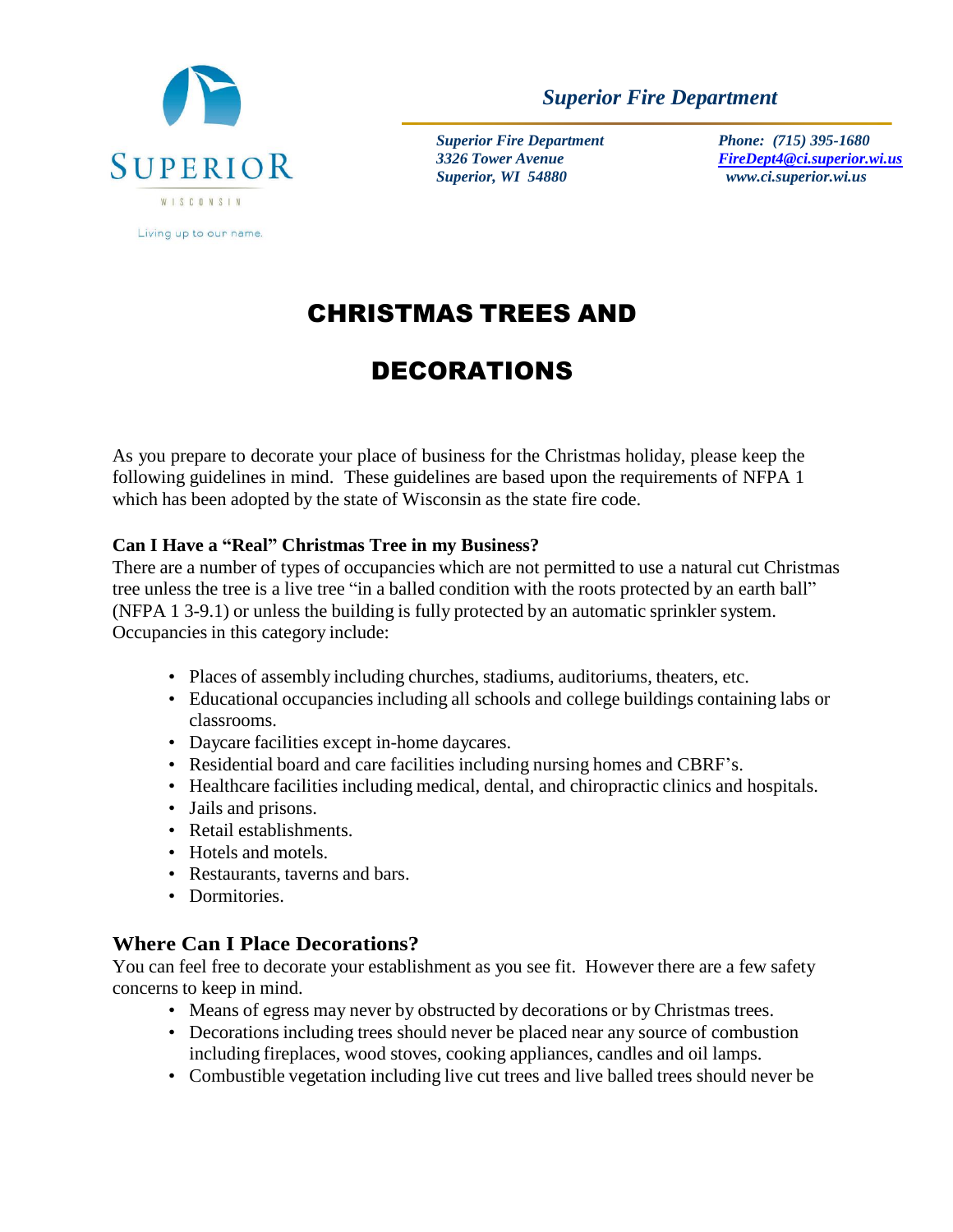

*Superior Fire Department*

*Superior Fire Department 3326 Tower Avenue Superior, WI 54880*

 *Phone: (715) 395-1680 [FireDept4@ci.superior.wi.us](mailto:FireDept4@ci.superior.wi.us) www.ci.superior.wi.us*

# CHRISTMAS TREES AND

# DECORATIONS

As you prepare to decorate your place of business for the Christmas holiday, please keep the following guidelines in mind. These guidelines are based upon the requirements of NFPA 1 which has been adopted by the state of Wisconsin as the state fire code.

#### **Can I Have a "Real" Christmas Tree in my Business?**

There are a number of types of occupancies which are not permitted to use a natural cut Christmas tree unless the tree is a live tree "in a balled condition with the roots protected by an earth ball" (NFPA 1 3-9.1) or unless the building is fully protected by an automatic sprinkler system. Occupancies in this category include:

- Places of assembly including churches, stadiums, auditoriums, theaters, etc.
- Educational occupancies including all schools and college buildings containing labs or classrooms.
- Daycare facilities except in-home daycares.
- Residential board and care facilities including nursing homes and CBRF's.
- Healthcare facilities including medical, dental, and chiropractic clinics and hospitals.
- Jails and prisons.
- Retail establishments.
- Hotels and motels.
- Restaurants, taverns and bars.
- Dormitories.

## **Where Can I Place Decorations?**

You can feel free to decorate your establishment as you see fit. However there are a few safety concerns to keep in mind.

- Means of egress may never by obstructed by decorations or by Christmas trees.
- Decorations including trees should never be placed near any source of combustion including fireplaces, wood stoves, cooking appliances, candles and oil lamps.
- Combustible vegetation including live cut trees and live balled trees should never be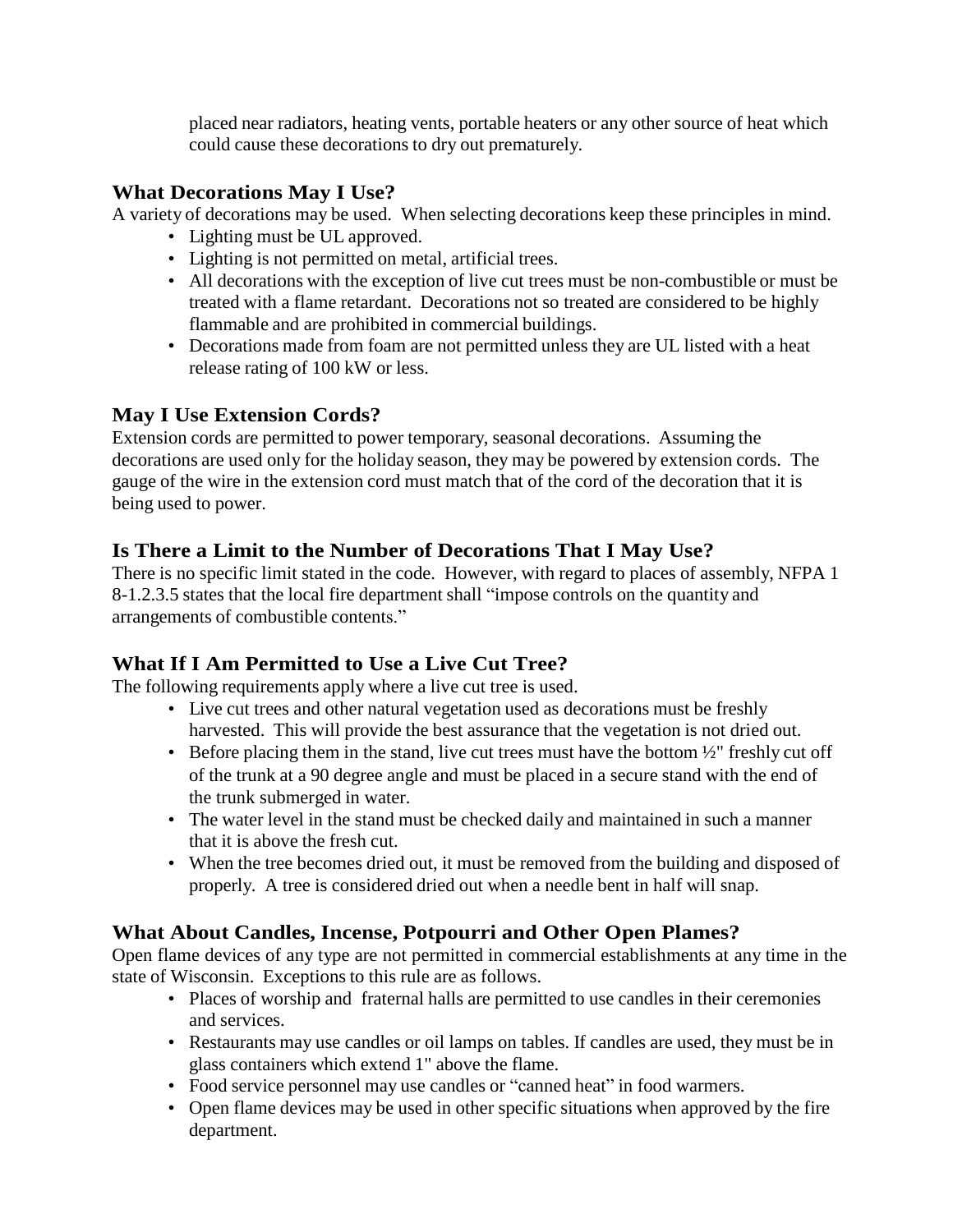placed near radiators, heating vents, portable heaters or any other source of heat which could cause these decorations to dry out prematurely.

### **What Decorations May I Use?**

A variety of decorations may be used. When selecting decorations keep these principles in mind.

- Lighting must be UL approved.
- Lighting is not permitted on metal, artificial trees.
- All decorations with the exception of live cut trees must be non-combustible or must be treated with a flame retardant. Decorations not so treated are considered to be highly flammable and are prohibited in commercial buildings.
- Decorations made from foam are not permitted unless they are UL listed with a heat release rating of 100 kW or less.

## **May I Use Extension Cords?**

Extension cords are permitted to power temporary, seasonal decorations. Assuming the decorations are used only for the holiday season, they may be powered by extension cords. The gauge of the wire in the extension cord must match that of the cord of the decoration that it is being used to power.

## **Is There a Limit to the Number of Decorations That I May Use?**

There is no specific limit stated in the code. However, with regard to places of assembly, NFPA 1 8-1.2.3.5 states that the local fire department shall "impose controls on the quantity and arrangements of combustible contents."

## **What If I Am Permitted to Use a Live Cut Tree?**

The following requirements apply where a live cut tree is used.

- Live cut trees and other natural vegetation used as decorations must be freshly harvested. This will provide the best assurance that the vegetation is not dried out.
- Before placing them in the stand, live cut trees must have the bottom  $\frac{1}{2}$ " freshly cut off of the trunk at a 90 degree angle and must be placed in a secure stand with the end of the trunk submerged in water.
- The water level in the stand must be checked daily and maintained in such a manner that it is above the fresh cut.
- When the tree becomes dried out, it must be removed from the building and disposed of properly. A tree is considered dried out when a needle bent in half will snap.

## **What About Candles, Incense, Potpourri and Other Open Plames?**

Open flame devices of any type are not permitted in commercial establishments at any time in the state of Wisconsin. Exceptions to this rule are as follows.

- Places of worship and fraternal halls are permitted to use candles in their ceremonies and services.
- Restaurants may use candles or oil lamps on tables. If candles are used, they must be in glass containers which extend 1" above the flame.
- Food service personnel may use candles or "canned heat" in food warmers.
- Open flame devices may be used in other specific situations when approved by the fire department.